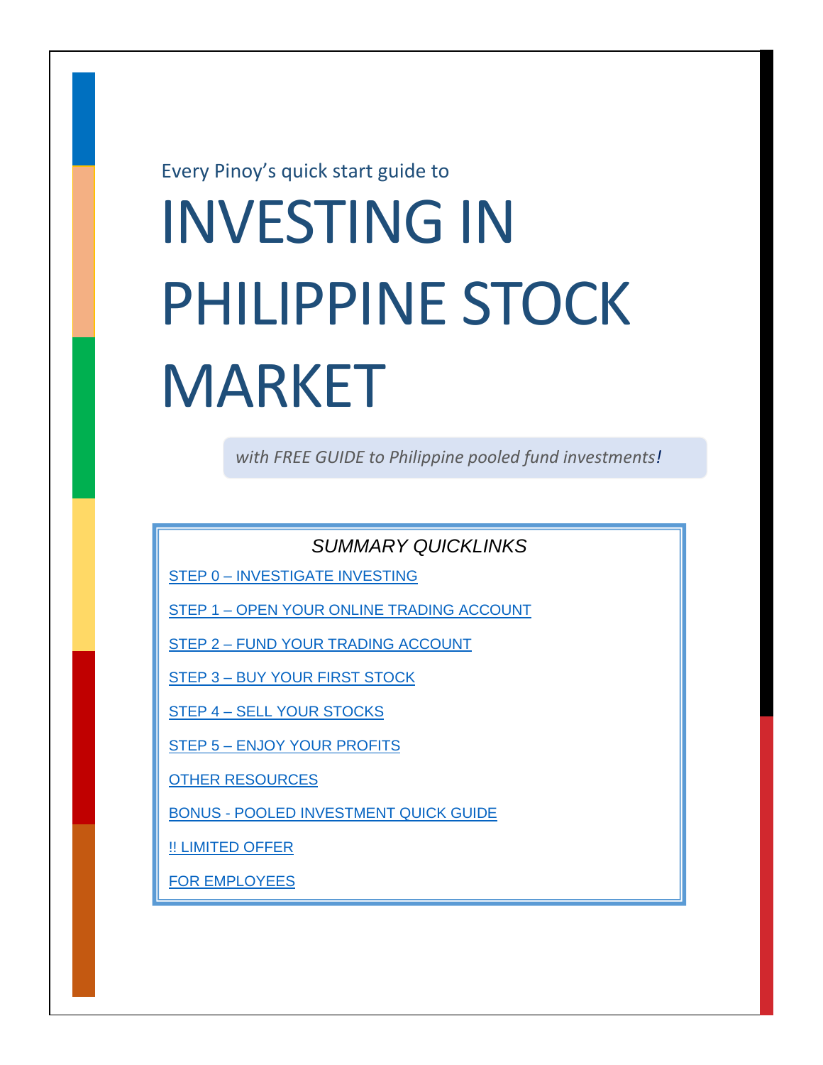Every Pinoy's quick start guide to

# INVESTING IN PHILIPPINE STOCK MARKET

*with FREE GUIDE to Philippine pooled fund investments!*

*SUMMARY QUICKLINKS*

STEP 0 – [INVESTIGATE INVESTING](#page-1-0)

STEP 1 – [OPEN YOUR ONLINE TRADING ACCOUNT](#page-2-0)

STEP 2 – [FUND YOUR TRADING ACCOUNT](#page-2-1)

STEP 3 – [BUY YOUR FIRST STOCK](#page-3-0)

STEP 4 – [SELL YOUR STOCKS](#page-4-0)

STEP 5 – [ENJOY YOUR PROFITS](#page-4-1)

[OTHER RESOURCES](#page-4-2)

BONUS - POOLED [INVESTMENT QUICK GUIDE](#page-5-0)

[!! LIMITED OFFER](#page-6-0)

[FOR EMPLOYEES](#page-7-0)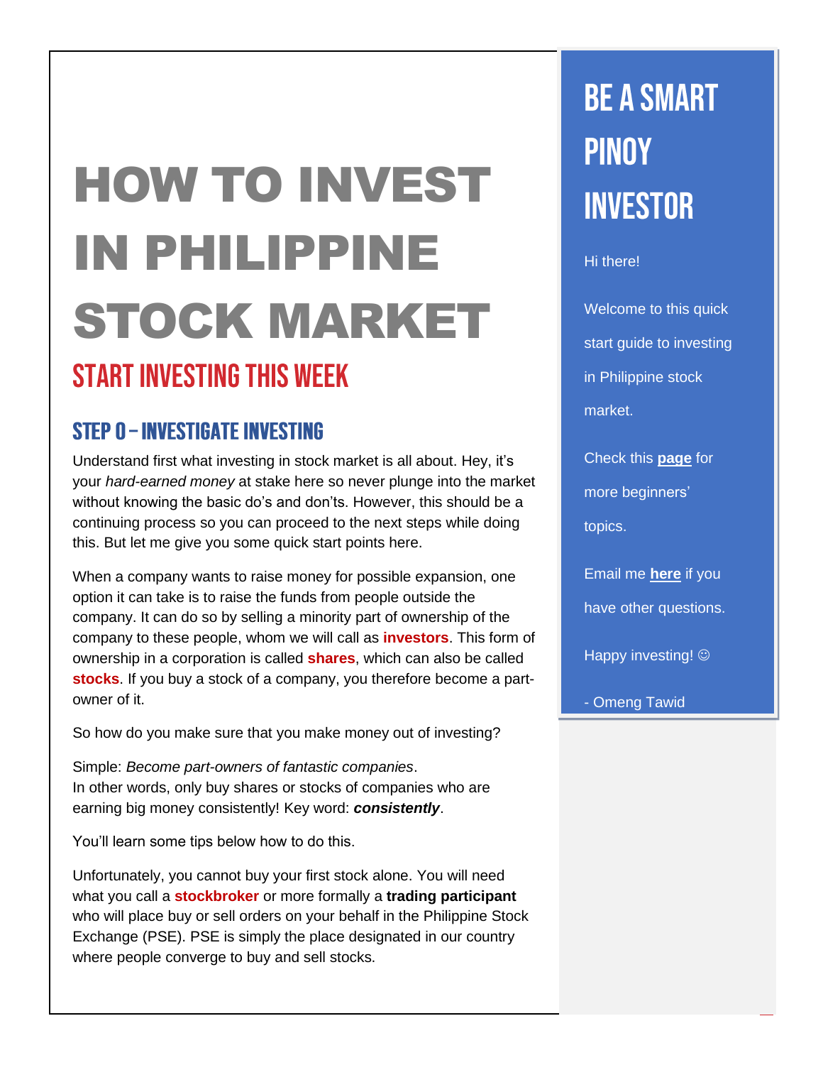## HOW TO INVEST IN PHILIPPINE STOCK MARKET **START INVESTING THIS WEEK**

## <span id="page-1-0"></span>**STEP 0 - INVESTIGATE INVESTING**

Understand first what investing in stock market is all about. Hey, it's your *hard-earned money* at stake here so never plunge into the market without knowing the basic do's and don'ts. However, this should be a continuing process so you can proceed to the next steps while doing this. But let me give you some quick start points here.

When a company wants to raise money for possible expansion, one option it can take is to raise the funds from people outside the company. It can do so by selling a minority part of ownership of the company to these people, whom we will call as **investors**. This form of ownership in a corporation is called **shares**, which can also be called **stocks**. If you buy a stock of a company, you therefore become a partowner of it.

So how do you make sure that you make money out of investing?

Simple: *Become part-owners of fantastic companies*. In other words, only buy shares or stocks of companies who are earning big money consistently! Key word: *consistently*.

You'll learn some tips below how to do this.

Unfortunately, you cannot buy your first stock alone. You will need what you call a **stockbroker** or more formally a **trading participant** who will place buy or sell orders on your behalf in the Philippine Stock Exchange (PSE). PSE is simply the place designated in our country where people converge to buy and sell stocks.

## **BE A SMART PINOY INVESTOR**

Hi there!

Welcome to this quick start guide to investing in Philippine stock market.

Check this **[page](http://smartpinoyinvestor.com/beginners)** for more beginners' topics.

Email me **[here](http://www.smartpinoyinvestor.com/contact)** if you have other questions.

Happy investing!  $\odot$ 

- Omeng Tawid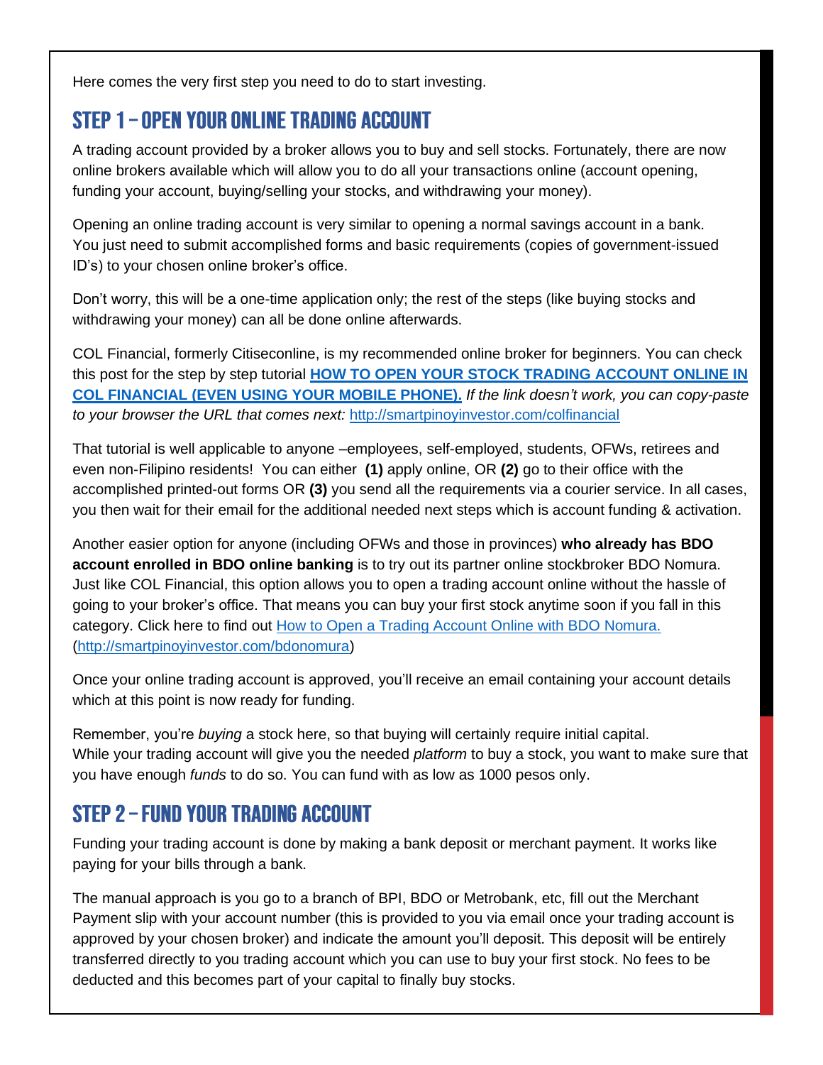Here comes the very first step you need to do to start investing.

## <span id="page-2-0"></span>STEP 1 - OPEN YOUR ONLINE TRADING ACCOUNT

A trading account provided by a broker allows you to buy and sell stocks. Fortunately, there are now online brokers available which will allow you to do all your transactions online (account opening, funding your account, buying/selling your stocks, and withdrawing your money).

Opening an online trading account is very similar to opening a normal savings account in a bank. You just need to submit accomplished forms and basic requirements (copies of government-issued ID's) to your chosen online broker's office.

Don't worry, this will be a one-time application only; the rest of the steps (like buying stocks and withdrawing your money) can all be done online afterwards.

COL Financial, formerly Citiseconline, is my recommended online broker for beginners. You can check this post for the step by step tutorial **HOW TO OPEN YOUR [STOCK TRADING ACCOUNT](http://smartpinoyinvestor.com/colfinancial) ONLINE IN COL FINANCIAL [\(EVEN USING YOUR MOBILE PHONE\).](http://smartpinoyinvestor.com/colfinancial)** *If the link doesn't work, you can copy-paste to your browser the URL that comes next:* <http://smartpinoyinvestor.com/colfinancial>

That tutorial is well applicable to anyone –employees, self-employed, students, OFWs, retirees and even non-Filipino residents! You can either **(1)** apply online, OR **(2)** go to their office with the accomplished printed-out forms OR **(3)** you send all the requirements via a courier service. In all cases, you then wait for their email for the additional needed next steps which is account funding & activation.

Another easier option for anyone (including OFWs and those in provinces) **who already has BDO account enrolled in BDO online banking** is to try out its partner online stockbroker BDO Nomura. Just like COL Financial, this option allows you to open a trading account online without the hassle of going to your broker's office. That means you can buy your first stock anytime soon if you fall in this category. Click here to find out [How to Open a Trading Account Online with BDO Nomura.](http://smartpinoyinvestor.com/bdonomura) [\(http://smartpinoyinvestor.com/bdonomura\)](http://smartpinoyinvestor.com/bdonomura)

Once your online trading account is approved, you'll receive an email containing your account details which at this point is now ready for funding.

Remember, you're *buying* a stock here, so that buying will certainly require initial capital. While your trading account will give you the needed *platform* to buy a stock, you want to make sure that you have enough *funds* to do so. You can fund with as low as 1000 pesos only.

## <span id="page-2-1"></span>STEP 2 - FUND YOUR TRADING ACCOUNT

Funding your trading account is done by making a bank deposit or merchant payment. It works like paying for your bills through a bank.

The manual approach is you go to a branch of BPI, BDO or Metrobank, etc, fill out the Merchant Payment slip with your account number (this is provided to you via email once your trading account is approved by your chosen broker) and indicate the amount you'll deposit. This deposit will be entirely transferred directly to you trading account which you can use to buy your first stock. No fees to be deducted and this becomes part of your capital to finally buy stocks.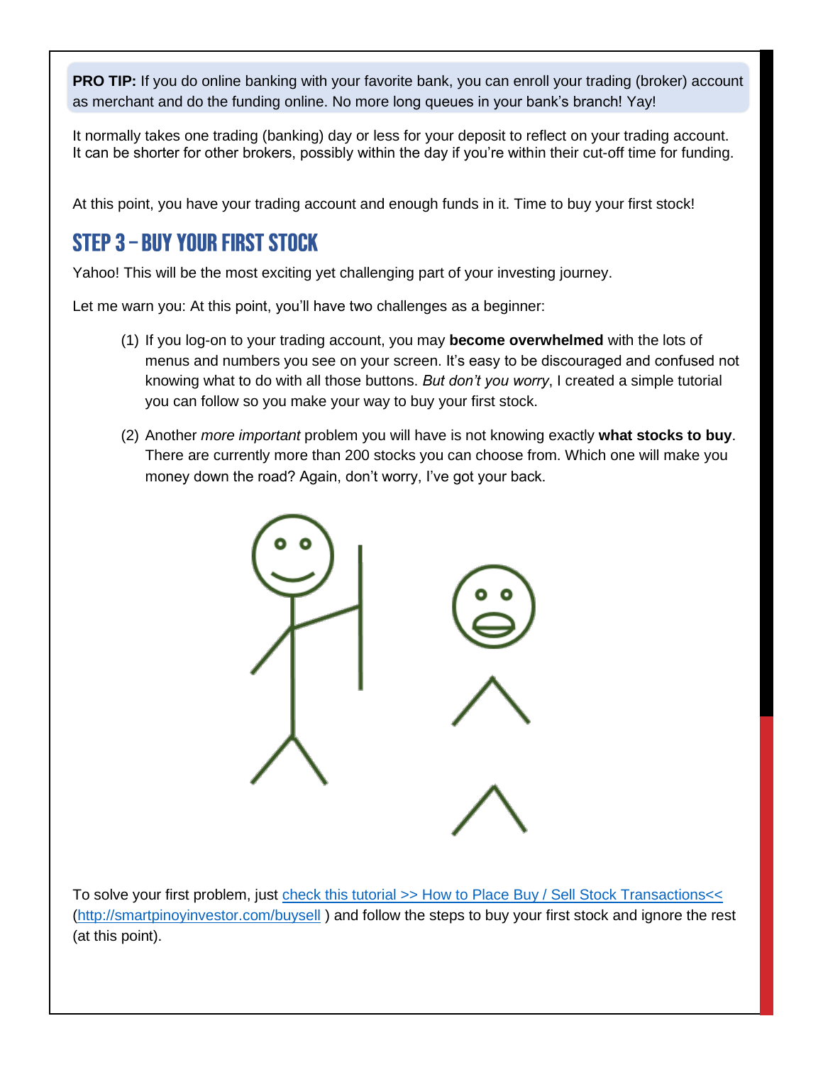**PRO TIP:** If you do online banking with your favorite bank, you can enroll your trading (broker) account as merchant and do the funding online. No more long queues in your bank's branch! Yay!

It normally takes one trading (banking) day or less for your deposit to reflect on your trading account. It can be shorter for other brokers, possibly within the day if you're within their cut-off time for funding.

At this point, you have your trading account and enough funds in it. Time to buy your first stock!

## <span id="page-3-0"></span>STEP 3 - BUY YOUR FIRST STOCK

Yahoo! This will be the most exciting yet challenging part of your investing journey.

Let me warn you: At this point, you'll have two challenges as a beginner:

- (1) If you log-on to your trading account, you may **become overwhelmed** with the lots of menus and numbers you see on your screen. It's easy to be discouraged and confused not knowing what to do with all those buttons. *But don't you worry*, I created a simple tutorial you can follow so you make your way to buy your first stock.
- (2) Another *more important* problem you will have is not knowing exactly **what stocks to buy**. There are currently more than 200 stocks you can choose from. Which one will make you money down the road? Again, don't worry, I've got your back.



To solve your first problem, just check this tutorial >> [How to Place Buy / Sell Stock Transactions<<](check%20this%20tutorial%20%3e%3e%20How%20to%20Place%20Buy%20/%20Sell%20Stock%20Transactions:%20http:/smartpinoyinvestor.com/buysell%20%3c%3c) [\(http://smartpinoyinvestor.com/buysell](http://smartpinoyinvestor.com/buysell) ) and follow the steps to buy your first stock and ignore the rest (at this point).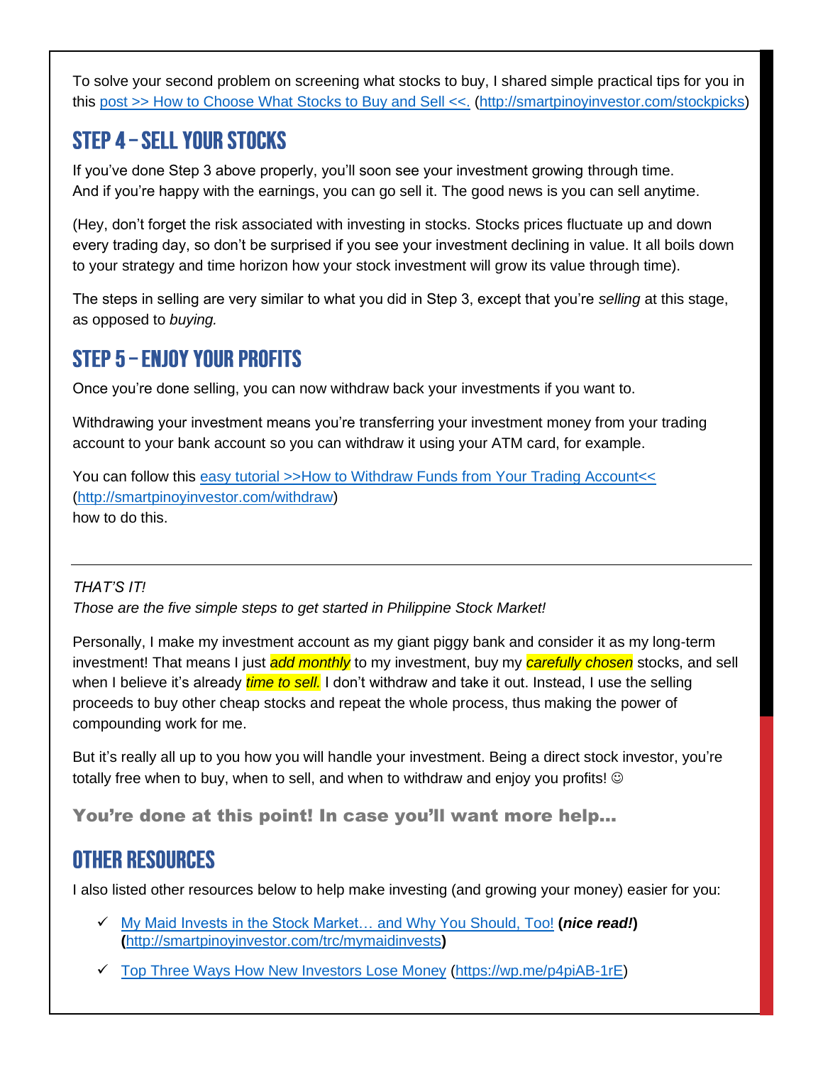To solve your second problem on screening what stocks to buy, I shared simple practical tips for you in this post >> How to Choose What [Stocks to Buy and Sell <<.](http://smartpinoyinvestor.com/stockpicks) [\(http://smartpinoyinvestor.com/stockpicks\)](http://smartpinoyinvestor.com/stockpicks)

## <span id="page-4-0"></span>**STEP 4 - SELL YOUR STOCKS**

If you've done Step 3 above properly, you'll soon see your investment growing through time. And if you're happy with the earnings, you can go sell it. The good news is you can sell anytime.

(Hey, don't forget the risk associated with investing in stocks. Stocks prices fluctuate up and down every trading day, so don't be surprised if you see your investment declining in value. It all boils down to your strategy and time horizon how your stock investment will grow its value through time).

The steps in selling are very similar to what you did in Step 3, except that you're *selling* at this stage, as opposed to *buying.*

## <span id="page-4-1"></span>**STEP 5 - ENJOY YOUR PROFITS**

Once you're done selling, you can now withdraw back your investments if you want to.

Withdrawing your investment means you're transferring your investment money from your trading account to your bank account so you can withdraw it using your ATM card, for example.

You can follow this [easy tutorial >>How to Withdraw Funds from Your Trading Account<<](http://smartpinoyinvestor.com/withdraw) [\(http://smartpinoyinvestor.com/withdraw\)](http://smartpinoyinvestor.com/withdraw) how to do this.

#### *THAT'S IT!*

*Those are the five simple steps to get started in Philippine Stock Market!*

Personally, I make my investment account as my giant piggy bank and consider it as my long-term investment! That means I just *add monthly* to my investment, buy my *carefully chosen* stocks, and sell when I believe it's already *time to sell.* I don't withdraw and take it out. Instead, I use the selling proceeds to buy other cheap stocks and repeat the whole process, thus making the power of compounding work for me.

But it's really all up to you how you will handle your investment. Being a direct stock investor, you're totally free when to buy, when to sell, and when to withdraw and enjoy you profits! ©

You're done at this point! In case you'll want more help…

## <span id="page-4-2"></span>**OTHER RESOURCES**

I also listed other resources below to help make investing (and growing your money) easier for you:

- ✓ [My Maid Invests in the Stock Market…](http://smartpinoyinvestor.com/trc/mymaidinvests) and Why You Should, Too! **(***nice read!***) (**<http://smartpinoyinvestor.com/trc/mymaidinvests>**)**
- ✓ [Top Three Ways How](https://www.smartpinoyinvestor.com/2019/09/how-to-avoid-losing-money-in-philippine-stock-market-2.html) New Investors Lose Money [\(https://wp.me/p4piAB-1rE\)](https://wp.me/p4piAB-1rE)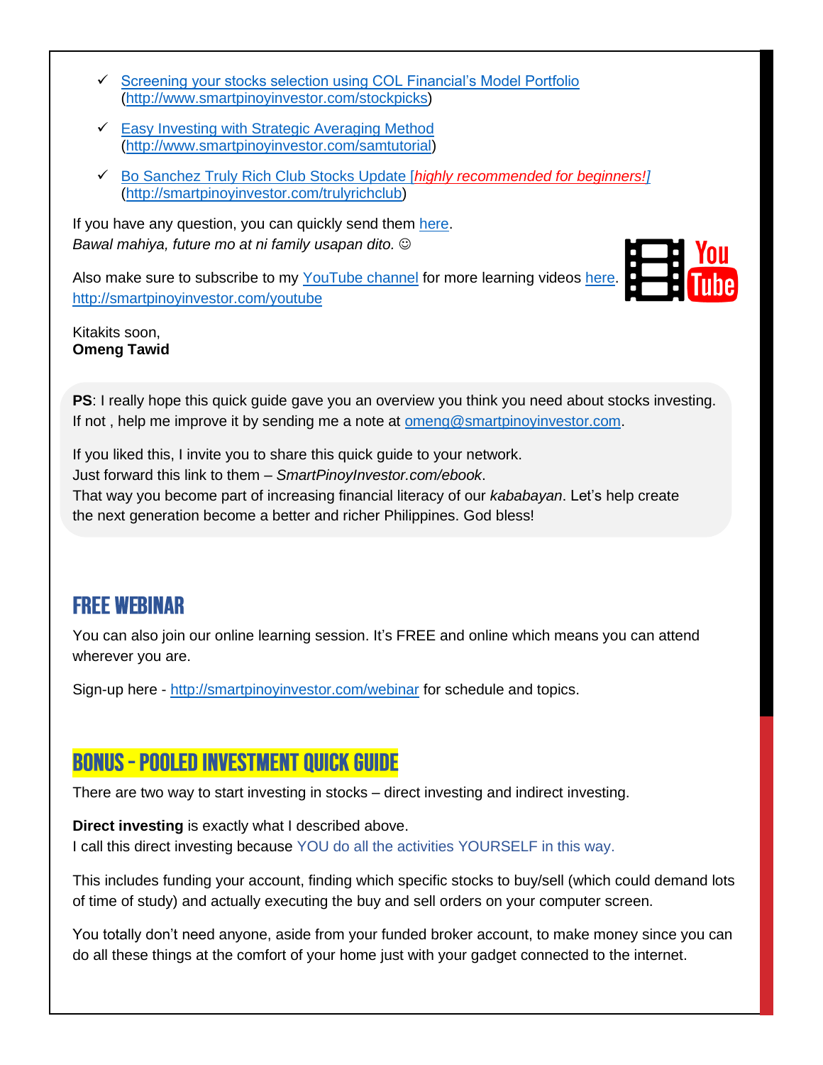- ✓ [Screening your stocks selection using COL Financial's Model Portfolio](http://www.smartpinoyinvestor.com/stockpicks) [\(http://www.smartpinoyinvestor.com/stockpicks\)](http://www.smartpinoyinvestor.com/stockpicks)
- $\checkmark$  [Easy Investing with Strategic Averaging Method](http://www.smartpinoyinvestor.com/samtutorial) [\(http://www.smartpinoyinvestor.com/samtutorial\)](http://www.smartpinoyinvestor.com/samtutorial)
- ✓ [Bo Sanchez Truly Rich Club Stocks Update \[](http://smartpinoyinvestor.com/trulyrichclub)*highly recommended for beginners!]* [\(http://smartpinoyinvestor.com/trulyrichclub\)](http://smartpinoyinvestor.com/trulyrichclub)

If you have any question, you can quickly send them [here.](http://smartpinoyinvestor.com/contact) *Bawal mahiya, future mo at ni family usapan dito.* ☺

Also make sure to subscribe to my [YouTube channel](http://smartpinoyinvestor.com/youtube) for more learning videos [here.](http://smartpinoyinvestor.com/youtube) <http://smartpinoyinvestor.com/youtube>



#### Kitakits soon, **Omeng Tawid**

**PS**: I really hope this quick guide gave you an overview you think you need about stocks investing. If not , help me improve it by sending me a note at [omeng@smartpinoyinvestor.com.](mailto:omeng@smartpinoyinvestor.com?subject=Quick%20Guide%20Feedback)

If you liked this, I invite you to share this quick guide to your network. Just forward this link to them – *SmartPinoyInvestor.com/ebook*. That way you become part of increasing financial literacy of our *kababayan*. Let's help create the next generation become a better and richer Philippines. God bless!

### <span id="page-5-0"></span>**FREE WEBINAR**

You can also join our online learning session. It's FREE and online which means you can attend wherever you are.

Sign-up here - <http://smartpinoyinvestor.com/webinar> for schedule and topics.

## **BONUS - POOLED INVESTMENT QUICK GUIDE**

There are two way to start investing in stocks – direct investing and indirect investing.

#### **Direct investing** is exactly what I described above.

I call this direct investing because YOU do all the activities YOURSELF in this way.

This includes funding your account, finding which specific stocks to buy/sell (which could demand lots of time of study) and actually executing the buy and sell orders on your computer screen.

You totally don't need anyone, aside from your funded broker account, to make money since you can do all these things at the comfort of your home just with your gadget connected to the internet.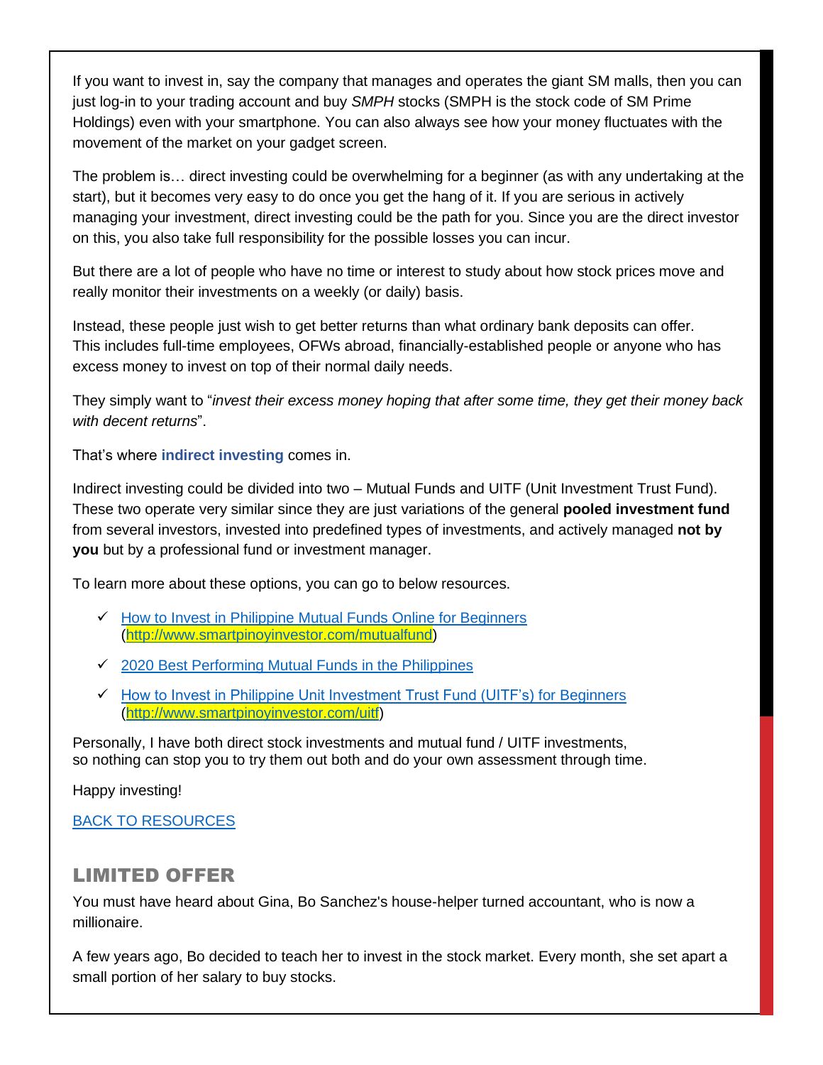If you want to invest in, say the company that manages and operates the giant SM malls, then you can just log-in to your trading account and buy *SMPH* stocks (SMPH is the stock code of SM Prime Holdings) even with your smartphone. You can also always see how your money fluctuates with the movement of the market on your gadget screen.

The problem is… direct investing could be overwhelming for a beginner (as with any undertaking at the start), but it becomes very easy to do once you get the hang of it. If you are serious in actively managing your investment, direct investing could be the path for you. Since you are the direct investor on this, you also take full responsibility for the possible losses you can incur.

But there are a lot of people who have no time or interest to study about how stock prices move and really monitor their investments on a weekly (or daily) basis.

Instead, these people just wish to get better returns than what ordinary bank deposits can offer. This includes full-time employees, OFWs abroad, financially-established people or anyone who has excess money to invest on top of their normal daily needs.

They simply want to "*invest their excess money hoping that after some time, they get their money back with decent returns*".

That's where **indirect investing** comes in.

Indirect investing could be divided into two – Mutual Funds and UITF (Unit Investment Trust Fund). These two operate very similar since they are just variations of the general **pooled investment fund** from several investors, invested into predefined types of investments, and actively managed **not by you** but by a professional fund or investment manager.

To learn more about these options, you can go to below resources.

- ✓ [How to Invest in Philippine Mutual Funds Online for Beginners](http://www.smartpinoyinvestor.com/mutualfund) [\(http://www.smartpinoyinvestor.com/mutualfund\)](http://www.smartpinoyinvestor.com/mutualfund)
- ✓ [2020 Best Performing Mutual Funds in the Philippines](https://www.smartpinoyinvestor.com/2019/09/2019-best-performing-mutual-fund-in-the-philippines.html)
- ✓ [How to Invest in Philippine Unit Investment Trust Fund \(UITF's\) for Beginners](http://www.smartpinoyinvestor.com/uitf) [\(http://www.smartpinoyinvestor.com/uitf\)](http://www.smartpinoyinvestor.com/uitf)

Personally, I have both direct stock investments and mutual fund / UITF investments, so nothing can stop you to try them out both and do your own assessment through time.

Happy investing!

[BACK TO RESOURCES](#page-4-2)

#### <span id="page-6-0"></span>LIMITED OFFER

You must have heard about Gina, Bo Sanchez's house-helper turned accountant, who is now a millionaire.

A few years ago, Bo decided to teach her to invest in the stock market. Every month, she set apart a small portion of her salary to buy stocks.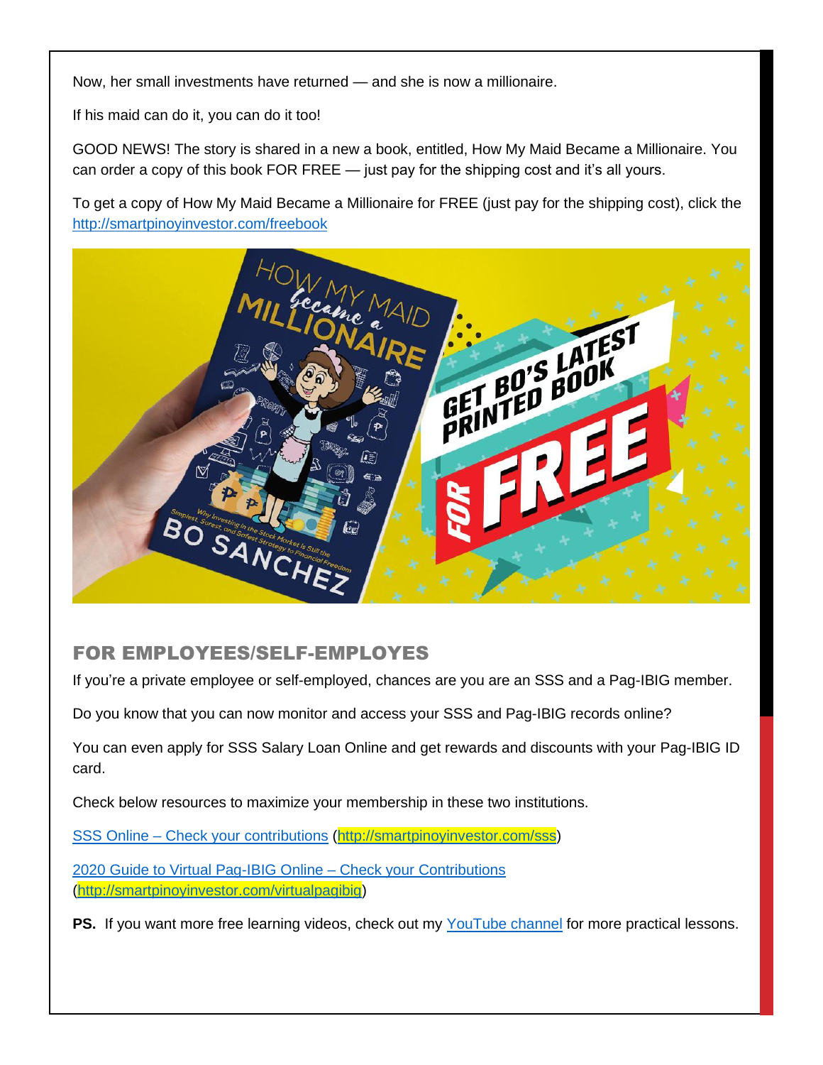Now, her small investments have returned — and she is now a millionaire.

If his maid can do it, you can do it too!

GOOD NEWS! The story is shared in a new a book, entitled, How My Maid Became a Millionaire. You can order a copy of this book FOR FREE — just pay for the shipping cost and it's all yours.

To get a copy of How My Maid Became a Millionaire for FREE (just pay for the shipping cost), click the <http://smartpinoyinvestor.com/freebook>



#### <span id="page-7-0"></span>FOR EMPLOYEES/SELF-EMPLOYES

If you're a private employee or self-employed, chances are you are an SSS and a Pag-IBIG member.

Do you know that you can now monitor and access your SSS and Pag-IBIG records online?

You can even apply for SSS Salary Loan Online and get rewards and discounts with your Pag-IBIG ID card.

Check below resources to maximize your membership in these two institutions.

SSS Online – [Check your contributions](http://smartpinoyinvestor.com/sss) [\(http://smartpinoyinvestor.com/sss\)](http://smartpinoyinvestor.com/sss)

[2020 Guide to Virtual Pag-IBIG Online –](http://smartpinoyinvestor.com/virtualpagibig) Check your Contributions [\(http://smartpinoyinvestor.com/virtualpagibig\)](http://smartpinoyinvestor.com/virtualpagibig)

**PS.** If you want more free learning videos, check out my [YouTube channel](http://smartpinoyinvestor.com/youtube) for more practical lessons.